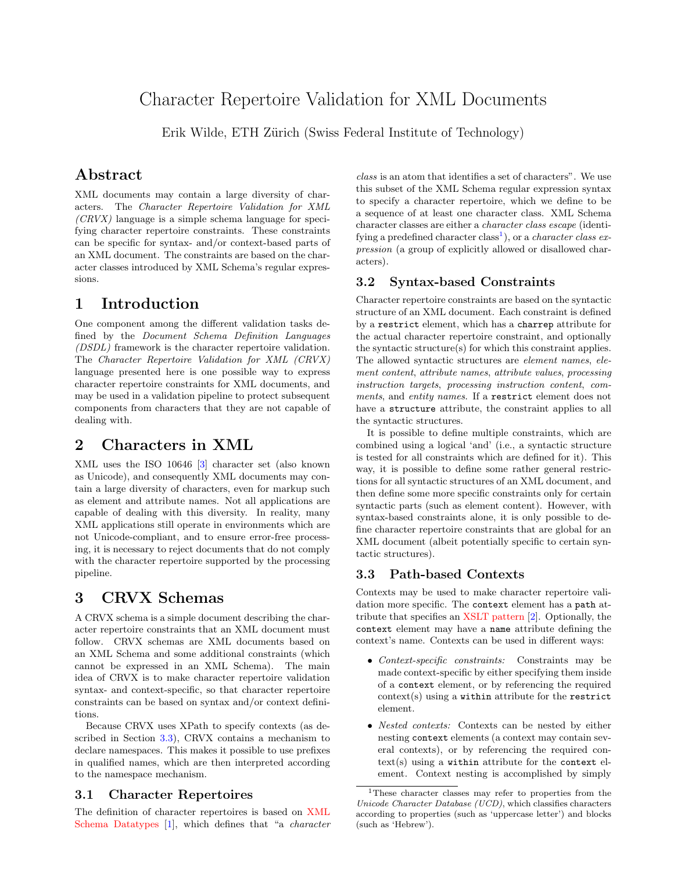# Character Repertoire Validation for XML Documents

Erik Wilde, ETH Zürich (Swiss Federal Institute of Technology)

### Abstract

XML documents may contain a large diversity of characters. The Character Repertoire Validation for XML  $(CRVX)$  language is a simple schema language for specifying character repertoire constraints. These constraints can be specific for syntax- and/or context-based parts of an XML document. The constraints are based on the character classes introduced by XML Schema's regular expressions.

### 1 Introduction

One component among the different validation tasks defined by the Document Schema Definition Languages (DSDL) framework is the character repertoire validation. The Character Repertoire Validation for XML (CRVX) language presented here is one possible way to express character repertoire constraints for XML documents, and may be used in a validation pipeline to protect subsequent components from characters that they are not capable of dealing with.

### 2 Characters in XML

XML uses the ISO 10646 [\[3\]](#page-1-0) character set (also known as Unicode), and consequently XML documents may contain a large diversity of characters, even for markup such as element and attribute names. Not all applications are capable of dealing with this diversity. In reality, many XML applications still operate in environments which are not Unicode-compliant, and to ensure error-free processing, it is necessary to reject documents that do not comply with the character repertoire supported by the processing pipeline.

# 3 CRVX Schemas

A CRVX schema is a simple document describing the character repertoire constraints that an XML document must follow. CRVX schemas are XML documents based on an XML Schema and some additional constraints (which cannot be expressed in an XML Schema). The main idea of CRVX is to make character repertoire validation syntax- and context-specific, so that character repertoire constraints can be based on syntax and/or context definitions.

Because CRVX uses XPath to specify contexts (as described in Section 3.3), CRVX contains a mechanism to declare namespaces. This makes it possible to use prefixes in qualified names, which are then interpreted according to the namespace mechanism.

#### 3.1 Character Repertoires

The definition of character repertoires is based on [XML](http://www.w3.org/TR/xmlschema-2/#charcter-classes) [Schema Datatypes](http://www.w3.org/TR/xmlschema-2/#charcter-classes) [\[1\]](#page-1-0), which defines that "a character

class is an atom that identifies a set of characters". We use this subset of the XML Schema regular expression syntax to specify a character repertoire, which we define to be a sequence of at least one character class. XML Schema character classes are either a character class escape (identifying a predefined character class<sup>1</sup>), or a *character class ex*pression (a group of explicitly allowed or disallowed characters).

#### 3.2 Syntax-based Constraints

Character repertoire constraints are based on the syntactic structure of an XML document. Each constraint is defined by a restrict element, which has a charrep attribute for the actual character repertoire constraint, and optionally the syntactic structure(s) for which this constraint applies. The allowed syntactic structures are element names, element content, attribute names, attribute values, processing instruction targets, processing instruction content, comments, and entity names. If a restrict element does not have a structure attribute, the constraint applies to all the syntactic structures.

It is possible to define multiple constraints, which are combined using a logical 'and' (i.e., a syntactic structure is tested for all constraints which are defined for it). This way, it is possible to define some rather general restrictions for all syntactic structures of an XML document, and then define some more specific constraints only for certain syntactic parts (such as element content). However, with syntax-based constraints alone, it is only possible to define character repertoire constraints that are global for an XML document (albeit potentially specific to certain syntactic structures).

#### 3.3 Path-based Contexts

Contexts may be used to make character repertoire validation more specific. The context element has a path attribute that specifies an [XSLT pattern](http://www.w3.org/TR/xslt#patterns) [\[2\]](#page-1-0). Optionally, the context element may have a name attribute defining the context's name. Contexts can be used in different ways:

- Context-specific constraints: Constraints may be made context-specific by either specifying them inside of a context element, or by referencing the required  $context(s)$  using a within attribute for the restrict element.
- Nested contexts: Contexts can be nested by either nesting context elements (a context may contain several contexts), or by referencing the required con $text(s)$  using a within attribute for the context element. Context nesting is accomplished by simply

<sup>1</sup>These character classes may refer to properties from the Unicode Character Database (UCD), which classifies characters according to properties (such as 'uppercase letter') and blocks (such as 'Hebrew').